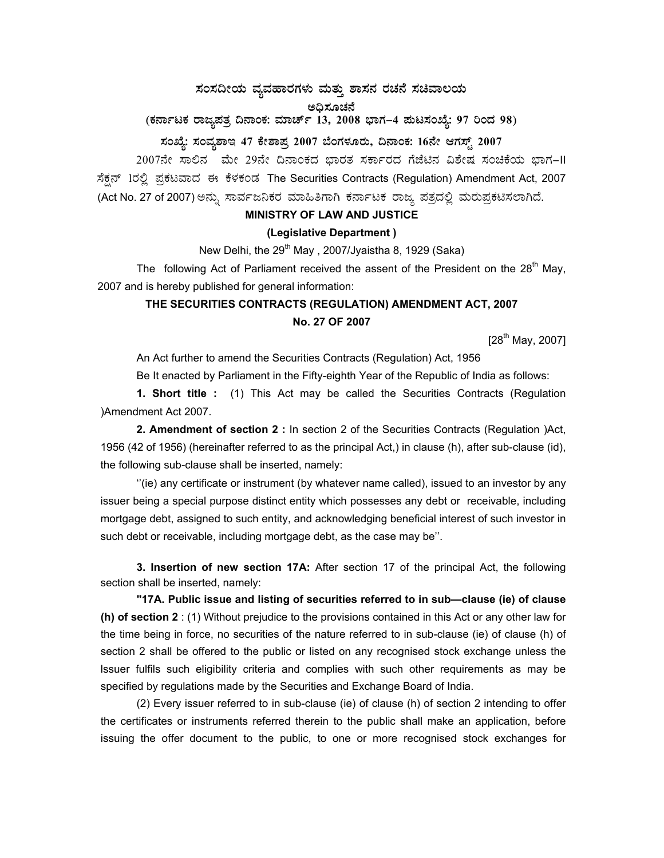# ಸಂಸದೀಯ ವ್ಯವಹಾರಗಳು ಮತ್ತು ಶಾಸನ ರಚನೆ ಸಚಿವಾಲಯ

ಅಧಿಸೂಚನೆ<br>(ಕರ್ನಾಟಕ ರಾಜ್ಯಪತ್ರ ದಿನಾಂಕ: ಮಾರ್ಚ್ 13, 2008 ಭಾಗ–4 ಪುಟಸಂಖ್ಯೆ: 97 ರಿಂದ 98)

## ಸಂಖ್ಯೆ: ಸಂವ್ಯಶಾಇ 47 ಕೇಶಾಪ್ರ 2007 ಬೆಂಗಳೂರು, ದಿನಾಂಕ: 16ನೇ ಆಗಸ್ಟ್ 2007

2007ನೇ ಸಾಲಿನ ಮೇ 29ನೇ ದಿನಾಂಕದ ಭಾರತ ಸರ್ಕಾರದ ಗೆಜೆಟಿನ ವಿಶೇಷ ಸಂಚಿಕೆಯ ಭಾಗ-II ಸೆಕ್ಷನ್ 1ರಲ್ಲಿ ಪ್ರಕಟವಾದ ಈ ಕೆಳಕಂಡ The Securities Contracts (Regulation) Amendment Act, 2007 (Act No. 27 of 2007) ಅನ್ನು ಸಾರ್ವಜನಿಕರ ಮಾಹಿತಿಗಾಗಿ ಕರ್ನಾಟಕ ರಾಜ್ಯ ಪತ್ರದಲ್ಲಿ ಮರುಪ್ರಕಟಿಸಲಾಗಿದೆ.

#### **MINISTRY OF LAW AND JUSTICE**

#### (Legislative Department)

New Delhi, the 29<sup>th</sup> May, 2007/Jyaistha 8, 1929 (Saka)

The following Act of Parliament received the assent of the President on the 28<sup>th</sup> May, 2007 and is hereby published for general information:

### THE SECURITIES CONTRACTS (REGULATION) AMENDMENT ACT, 2007 No. 27 OF 2007

 $[28^{th}$  May, 2007]

An Act further to amend the Securities Contracts (Regulation) Act, 1956

Be It enacted by Parliament in the Fifty-eighth Year of the Republic of India as follows:

1. Short title : (1) This Act may be called the Securities Contracts (Regulation )Amendment Act 2007.

2. Amendment of section 2 : In section 2 of the Securities Contracts (Regulation )Act, 1956 (42 of 1956) (hereinafter referred to as the principal Act,) in clause (h), after sub-clause (id), the following sub-clause shall be inserted, namely:

"(ie) any certificate or instrument (by whatever name called), issued to an investor by any issuer being a special purpose distinct entity which possesses any debt or receivable, including mortgage debt, assigned to such entity, and acknowledging beneficial interest of such investor in such debt or receivable, including mortgage debt, as the case may be".

3. Insertion of new section 17A: After section 17 of the principal Act, the following section shall be inserted, namely:

"17A. Public issue and listing of securities referred to in sub-clause (ie) of clause (h) of section 2: (1) Without prejudice to the provisions contained in this Act or any other law for the time being in force, no securities of the nature referred to in sub-clause (ie) of clause (h) of section 2 shall be offered to the public or listed on any recognised stock exchange unless the Issuer fulfils such eligibility criteria and complies with such other requirements as may be specified by regulations made by the Securities and Exchange Board of India.

(2) Every issuer referred to in sub-clause (ie) of clause (h) of section 2 intending to offer the certificates or instruments referred therein to the public shall make an application, before issuing the offer document to the public, to one or more recognised stock exchanges for